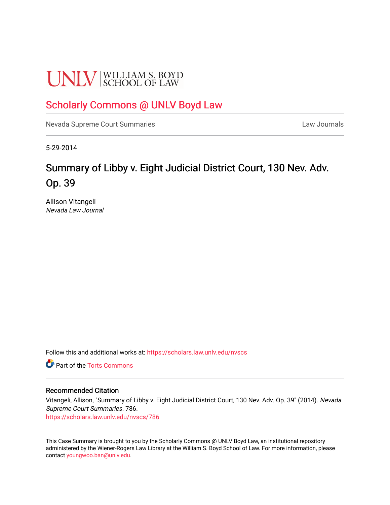# **UNLV** SCHOOL OF LAW

# [Scholarly Commons @ UNLV Boyd Law](https://scholars.law.unlv.edu/)

[Nevada Supreme Court Summaries](https://scholars.law.unlv.edu/nvscs) **Law Journals** Law Journals

5-29-2014

# Summary of Libby v. Eight Judicial District Court, 130 Nev. Adv. Op. 39

Allison Vitangeli Nevada Law Journal

Follow this and additional works at: [https://scholars.law.unlv.edu/nvscs](https://scholars.law.unlv.edu/nvscs?utm_source=scholars.law.unlv.edu%2Fnvscs%2F786&utm_medium=PDF&utm_campaign=PDFCoverPages)

**C** Part of the [Torts Commons](http://network.bepress.com/hgg/discipline/913?utm_source=scholars.law.unlv.edu%2Fnvscs%2F786&utm_medium=PDF&utm_campaign=PDFCoverPages)

## Recommended Citation

Vitangeli, Allison, "Summary of Libby v. Eight Judicial District Court, 130 Nev. Adv. Op. 39" (2014). Nevada Supreme Court Summaries. 786.

[https://scholars.law.unlv.edu/nvscs/786](https://scholars.law.unlv.edu/nvscs/786?utm_source=scholars.law.unlv.edu%2Fnvscs%2F786&utm_medium=PDF&utm_campaign=PDFCoverPages)

This Case Summary is brought to you by the Scholarly Commons @ UNLV Boyd Law, an institutional repository administered by the Wiener-Rogers Law Library at the William S. Boyd School of Law. For more information, please contact [youngwoo.ban@unlv.edu](mailto:youngwoo.ban@unlv.edu).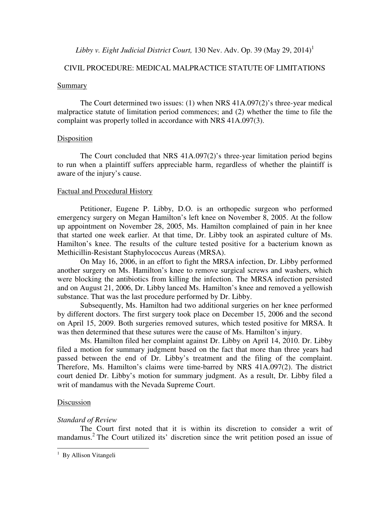# *Libby v. Eight Judicial District Court,* 130 Nev. Adv. Op. 39 (May 29, 2014)<sup>1</sup>

# CIVIL PROCEDURE: MEDICAL MALPRACTICE STATUTE OF LIMITATIONS

#### Summary

The Court determined two issues: (1) when NRS 41A.097(2)'s three-year medical malpractice statute of limitation period commences; and (2) whether the time to file the complaint was properly tolled in accordance with NRS 41A.097(3).

#### Disposition

 The Court concluded that NRS 41A.097(2)'s three-year limitation period begins to run when a plaintiff suffers appreciable harm, regardless of whether the plaintiff is aware of the injury's cause.

## Factual and Procedural History

 Petitioner, Eugene P. Libby, D.O. is an orthopedic surgeon who performed emergency surgery on Megan Hamilton's left knee on November 8, 2005. At the follow up appointment on November 28, 2005, Ms. Hamilton complained of pain in her knee that started one week earlier. At that time, Dr. Libby took an aspirated culture of Ms. Hamilton's knee. The results of the culture tested positive for a bacterium known as Methicillin-Resistant Staphylococcus Aureas (MRSA).

 On May 16, 2006, in an effort to fight the MRSA infection, Dr. Libby performed another surgery on Ms. Hamilton's knee to remove surgical screws and washers, which were blocking the antibiotics from killing the infection. The MRSA infection persisted and on August 21, 2006, Dr. Libby lanced Ms. Hamilton's knee and removed a yellowish substance. That was the last procedure performed by Dr. Libby.

 Subsequently, Ms. Hamilton had two additional surgeries on her knee performed by different doctors. The first surgery took place on December 15, 2006 and the second on April 15, 2009. Both surgeries removed sutures, which tested positive for MRSA. It was then determined that these sutures were the cause of Ms. Hamilton's injury.

 Ms. Hamilton filed her complaint against Dr. Libby on April 14, 2010. Dr. Libby filed a motion for summary judgment based on the fact that more than three years had passed between the end of Dr. Libby's treatment and the filing of the complaint. Therefore, Ms. Hamilton's claims were time-barred by NRS 41A.097(2). The district court denied Dr. Libby's motion for summary judgment. As a result, Dr. Libby filed a writ of mandamus with the Nevada Supreme Court.

#### Discussion

 $\overline{a}$ 

# *Standard of Review*

 The Court first noted that it is within its discretion to consider a writ of mandamus.<sup>2</sup> The Court utilized its' discretion since the writ petition posed an issue of

<sup>&</sup>lt;sup>1</sup> By Allison Vitangeli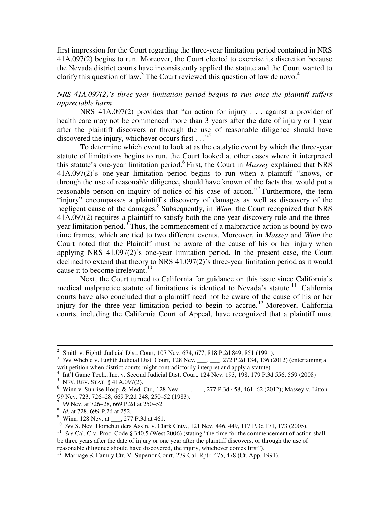first impression for the Court regarding the three-year limitation period contained in NRS 41A.097(2) begins to run. Moreover, the Court elected to exercise its discretion because the Nevada district courts have inconsistently applied the statute and the Court wanted to clarify this question of law.<sup>3</sup> The Court reviewed this question of law de novo.<sup>4</sup>

# *NRS 41A.097(2)'s three-year limitation period begins to run once the plaintiff suffers appreciable harm*

 NRS 41A.097(2) provides that "an action for injury . . . against a provider of health care may not be commenced more than 3 years after the date of injury or 1 year after the plaintiff discovers or through the use of reasonable diligence should have discovered the injury, whichever occurs first  $\ldots$ <sup>55</sup>

 To determine which event to look at as the catalytic event by which the three-year statute of limitations begins to run, the Court looked at other cases where it interpreted this statute's one-year limitation period.<sup>6</sup> First, the Court in *Massey* explained that NRS 41A.097(2)'s one-year limitation period begins to run when a plaintiff "knows, or through the use of reasonable diligence, should have known of the facts that would put a reasonable person on inquiry of notice of his case of action."<sup>7</sup> Furthermore, the term "injury" encompasses a plaintiff's discovery of damages as well as discovery of the negligent cause of the damages.<sup>8</sup> Subsequently, in *Winn*, the Court recognized that NRS 41A.097(2) requires a plaintiff to satisfy both the one-year discovery rule and the threeyear limitation period.<sup>9</sup> Thus, the commencement of a malpractice action is bound by two time frames, which are tied to two different events. Moreover, in *Massey* and *Winn* the Court noted that the Plaintiff must be aware of the cause of his or her injury when applying NRS 41.097(2)'s one-year limitation period. In the present case, the Court declined to extend that theory to NRS 41.097(2)'s three-year limitation period as it would cause it to become irrelevant.<sup>10</sup>

 Next, the Court turned to California for guidance on this issue since California's medical malpractice statute of limitations is identical to Nevada's statute.<sup>11</sup> California courts have also concluded that a plaintiff need not be aware of the cause of his or her injury for the three-year limitation period to begin to accrue.<sup>12</sup> Moreover, California courts, including the California Court of Appeal, have recognized that a plaintiff must

 $\overline{a}$ 

<sup>&</sup>lt;sup>2</sup> Smith v. Eighth Judicial Dist. Court, 107 Nev. 674, 677, 818 P.2d 849, 851 (1991).

<sup>3</sup> *See* Wheble v. Eighth Judicial Dist. Court, 128 Nev*. \_\_\_, \_\_\_,* 272 P.2d 134, 136 (2012) (entertaining a writ petition when district courts might contradictorily interpret and apply a statute).

<sup>4</sup> Int'l Game Tech., Inc. v. Second Judicial Dist. Court*,* 124 Nev. 193, 198, 179 P.3d 556, 559 (2008)

<sup>5</sup> NEV. REV. STAT. § 41A.097(2).

<sup>6</sup> Winn v. Sunrise Hosp. & Med. Ctr*.,* 128 Nev. \_\_\_, \_\_\_, 277 P.3d 458, 461–62 (2012); Massey v. Litton*,*  99 Nev. 723, 726–28, 669 P.2d 248, 250–52 (1983).

<sup>&</sup>lt;sup>7</sup> 99 Nev. at 726–28, 669 P.2d at 250–52.

<sup>8</sup> *Id.* at 728, 699 P.2d at 252.

<sup>9</sup> Winn*,* 128 Nev. at \_\_\_, 277 P.3d at 461.

<sup>10</sup> *See* S. Nev. Homebuilders Ass'n. v. Clark Cnty., 121 Nev. 446, 449, 117 P.3d 171, 173 (2005).

<sup>&</sup>lt;sup>11</sup> See Cal. Civ. Proc. Code § 340.5 (West 2006) (stating "the time for the commencement of action shall be three years after the date of injury or one year after the plaintiff discovers, or through the use of reasonable diligence should have discovered, the injury, whichever comes first").

<sup>&</sup>lt;sup>12</sup> Marriage & Family Ctr. V. Superior Court, 279 Cal. Rptr. 475, 478 (Ct. App. 1991).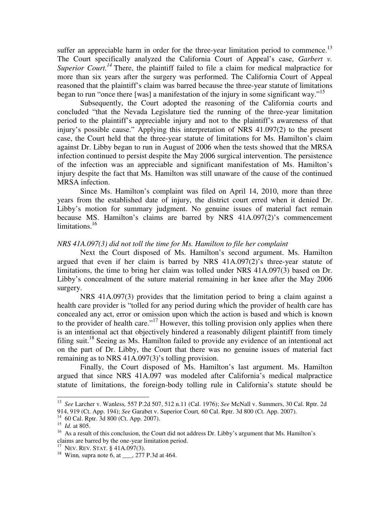suffer an appreciable harm in order for the three-year limitation period to commence.<sup>13</sup> The Court specifically analyzed the California Court of Appeal's case, *Garbert v. Superior Court.*<sup>14</sup> There, the plaintiff failed to file a claim for medical malpractice for more than six years after the surgery was performed. The California Court of Appeal reasoned that the plaintiff's claim was barred because the three-year statute of limitations began to run "once there [was] a manifestation of the injury in some significant way."<sup>15</sup>

 Subsequently, the Court adopted the reasoning of the California courts and concluded "that the Nevada Legislature tied the running of the three-year limitation period to the plaintiff's appreciable injury and not to the plaintiff's awareness of that injury's possible cause." Applying this interpretation of NRS 41.097(2) to the present case, the Court held that the three-year statute of limitations for Ms. Hamilton's claim against Dr. Libby began to run in August of 2006 when the tests showed that the MRSA infection continued to persist despite the May 2006 surgical intervention. The persistence of the infection was an appreciable and significant manifestation of Ms. Hamilton's injury despite the fact that Ms. Hamilton was still unaware of the cause of the continued MRSA infection.

 Since Ms. Hamilton's complaint was filed on April 14, 2010, more than three years from the established date of injury, the district court erred when it denied Dr. Libby's motion for summary judgment. No genuine issues of material fact remain because MS. Hamilton's claims are barred by NRS 41A.097(2)'s commencement limitations. $16$ 

## *NRS 41A.097(3) did not toll the time for Ms. Hamilton to file her complaint*

 Next the Court disposed of Ms. Hamilton's second argument. Ms. Hamilton argued that even if her claim is barred by NRS  $41A.097(2)$ 's three-year statute of limitations, the time to bring her claim was tolled under NRS 41A.097(3) based on Dr. Libby's concealment of the suture material remaining in her knee after the May 2006 surgery.

 NRS 41A.097(3) provides that the limitation period to bring a claim against a health care provider is "tolled for any period during which the provider of health care has concealed any act, error or omission upon which the action is based and which is known to the provider of health care."<sup>17</sup> However, this tolling provision only applies when there is an intentional act that objectively hindered a reasonably diligent plaintiff from timely filing suit.<sup>18</sup> Seeing as Ms. Hamilton failed to provide any evidence of an intentional act on the part of Dr. Libby, the Court that there was no genuine issues of material fact remaining as to NRS 41A.097(3)'s tolling provision.

 Finally, the Court disposed of Ms. Hamilton's last argument. Ms. Hamilton argued that since NRS 41A.097 was modeled after California's medical malpractice statute of limitations, the foreign-body tolling rule in California's statute should be

 $\overline{a}$ 

<sup>13</sup> *See* Larcher v. Wanless*,* 557 P.2d 507, 512 n.11 (Cal. 1976); *See* McNall v. Summers, 30 Cal. Rptr. 2d 914, 919 (Ct. App. 194); *See* Garabet v. Superior Court*,* 60 Cal. Rptr. 3d 800 (Ct. App. 2007).

<sup>14</sup> 60 Cal. Rptr. 3d 800 (Ct. App. 2007). 15 *Id.* at 805.

<sup>&</sup>lt;sup>16</sup> As a result of this conclusion, the Court did not address Dr. Libby's argument that Ms. Hamilton's claims are barred by the one-year limitation period.

<sup>&</sup>lt;sup>17</sup> NEV. REV. STAT. § 41A.097(3).

<sup>18</sup> Winn*,* supra note 6, at \_\_\_, 277 P.3d at 464.